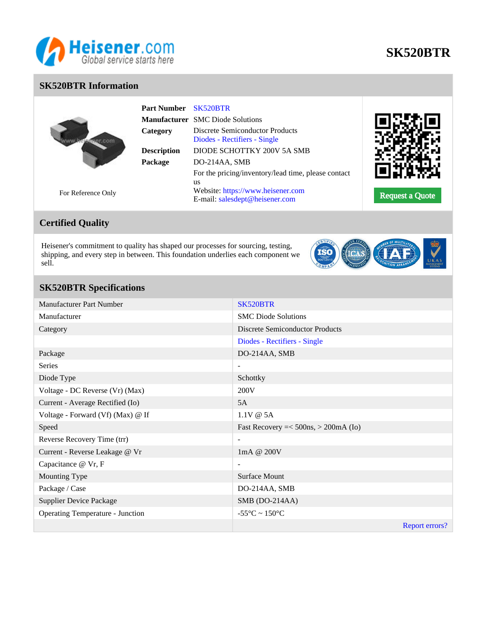

# **SK520BTR**

## **SK520BTR Information**

|                    | <b>Part Number</b> | SK520BTR                                                               |                        |
|--------------------|--------------------|------------------------------------------------------------------------|------------------------|
|                    |                    | <b>Manufacturer</b> SMC Diode Solutions                                |                        |
|                    | Category           | <b>Discrete Semiconductor Products</b><br>Diodes - Rectifiers - Single |                        |
|                    | <b>Description</b> | DIODE SCHOTTKY 200V 5A SMB                                             |                        |
|                    | Package            | DO-214AA, SMB                                                          |                        |
|                    |                    | For the pricing/inventory/lead time, please contact                    |                        |
|                    |                    | us                                                                     |                        |
| For Reference Only |                    | Website: https://www.heisener.com                                      | <b>Request a Quote</b> |
|                    |                    | E-mail: salesdept@heisener.com                                         |                        |

# For Reference Only

# **Certified Quality**

Heisener's commitment to quality has shaped our processes for sourcing, testing, shipping, and every step in between. This foundation underlies each component we sell.



# **SK520BTR Specifications**

| Manufacturer Part Number                | SK520BTR                               |
|-----------------------------------------|----------------------------------------|
| Manufacturer                            | <b>SMC</b> Diode Solutions             |
| Category                                | <b>Discrete Semiconductor Products</b> |
|                                         | Diodes - Rectifiers - Single           |
| Package                                 | DO-214AA, SMB                          |
| Series                                  | $\overline{\phantom{a}}$               |
| Diode Type                              | Schottky                               |
| Voltage - DC Reverse (Vr) (Max)         | 200V                                   |
| Current - Average Rectified (Io)        | 5A                                     |
| Voltage - Forward (Vf) (Max) @ If       | $1.1V \& 5A$                           |
| Speed                                   | Fast Recovery $=<500ns, >200mA$ (Io)   |
| Reverse Recovery Time (trr)             | $\overline{\phantom{a}}$               |
| Current - Reverse Leakage @ Vr          | 1mA @ 200V                             |
| Capacitance @ Vr, F                     | $\overline{\phantom{a}}$               |
| Mounting Type                           | Surface Mount                          |
| Package / Case                          | DO-214AA, SMB                          |
| <b>Supplier Device Package</b>          | SMB (DO-214AA)                         |
| <b>Operating Temperature - Junction</b> | $-55^{\circ}$ C ~ 150 $^{\circ}$ C     |
|                                         | Report errors?                         |